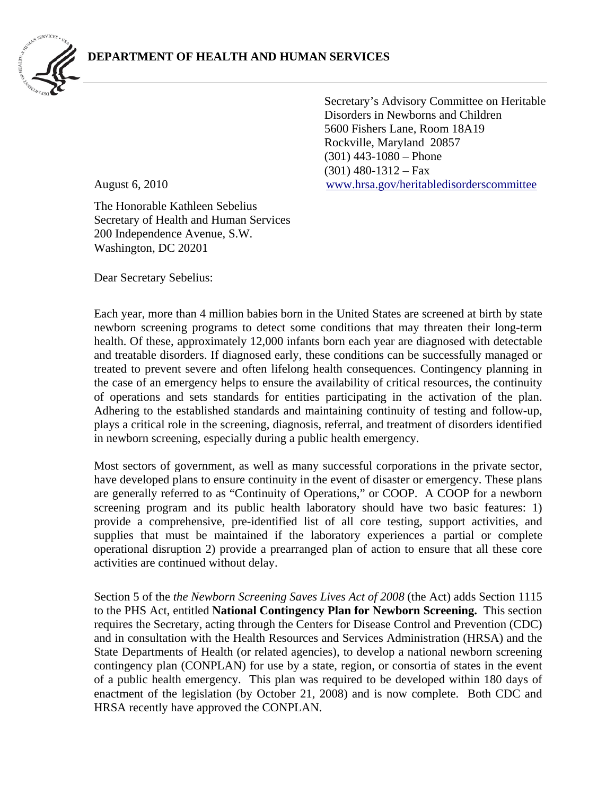

Secretary's Advisory Committee on Heritable Disorders in Newborns and Children 5600 Fishers Lane, Room 18A19 Rockville, Maryland 20857 (301) 443-1080 – Phone  $(301)$  480-1312 – Fax August 6, 2010 [www.hrsa.gov/heritabledisorderscommittee](http://www.hrsa.gov/heritabledisorderscommittee) 

The Honorable Kathleen Sebelius Secretary of Health and Human Services 200 Independence Avenue, S.W. Washington, DC 20201

Dear Secretary Sebelius:

Each year, more than 4 million babies born in the United States are screened at birth by state newborn screening programs to detect some conditions that may threaten their long-term health. Of these, approximately 12,000 infants born each year are diagnosed with detectable and treatable disorders. If diagnosed early, these conditions can be successfully managed or treated to prevent severe and often lifelong health consequences. Contingency planning in the case of an emergency helps to ensure the availability of critical resources, the continuity of operations and sets standards for entities participating in the activation of the plan. Adhering to the established standards and maintaining continuity of testing and follow-up, plays a critical role in the screening, diagnosis, referral, and treatment of disorders identified in newborn screening, especially during a public health emergency.

Most sectors of government, as well as many successful corporations in the private sector, have developed plans to ensure continuity in the event of disaster or emergency. These plans are generally referred to as "Continuity of Operations," or COOP. A COOP for a newborn screening program and its public health laboratory should have two basic features: 1) provide a comprehensive, pre-identified list of all core testing, support activities, and supplies that must be maintained if the laboratory experiences a partial or complete operational disruption 2) provide a prearranged plan of action to ensure that all these core activities are continued without delay.

Section 5 of the *the Newborn Screening Saves Lives Act of 2008* (the Act) adds Section 1115 to the PHS Act, entitled **National Contingency Plan for Newborn Screening.** This section requires the Secretary, acting through the Centers for Disease Control and Prevention (CDC) and in consultation with the Health Resources and Services Administration (HRSA) and the State Departments of Health (or related agencies), to develop a national newborn screening contingency plan (CONPLAN) for use by a state, region, or consortia of states in the event of a public health emergency. This plan was required to be developed within 180 days of enactment of the legislation (by October 21, 2008) and is now complete. Both CDC and HRSA recently have approved the CONPLAN.